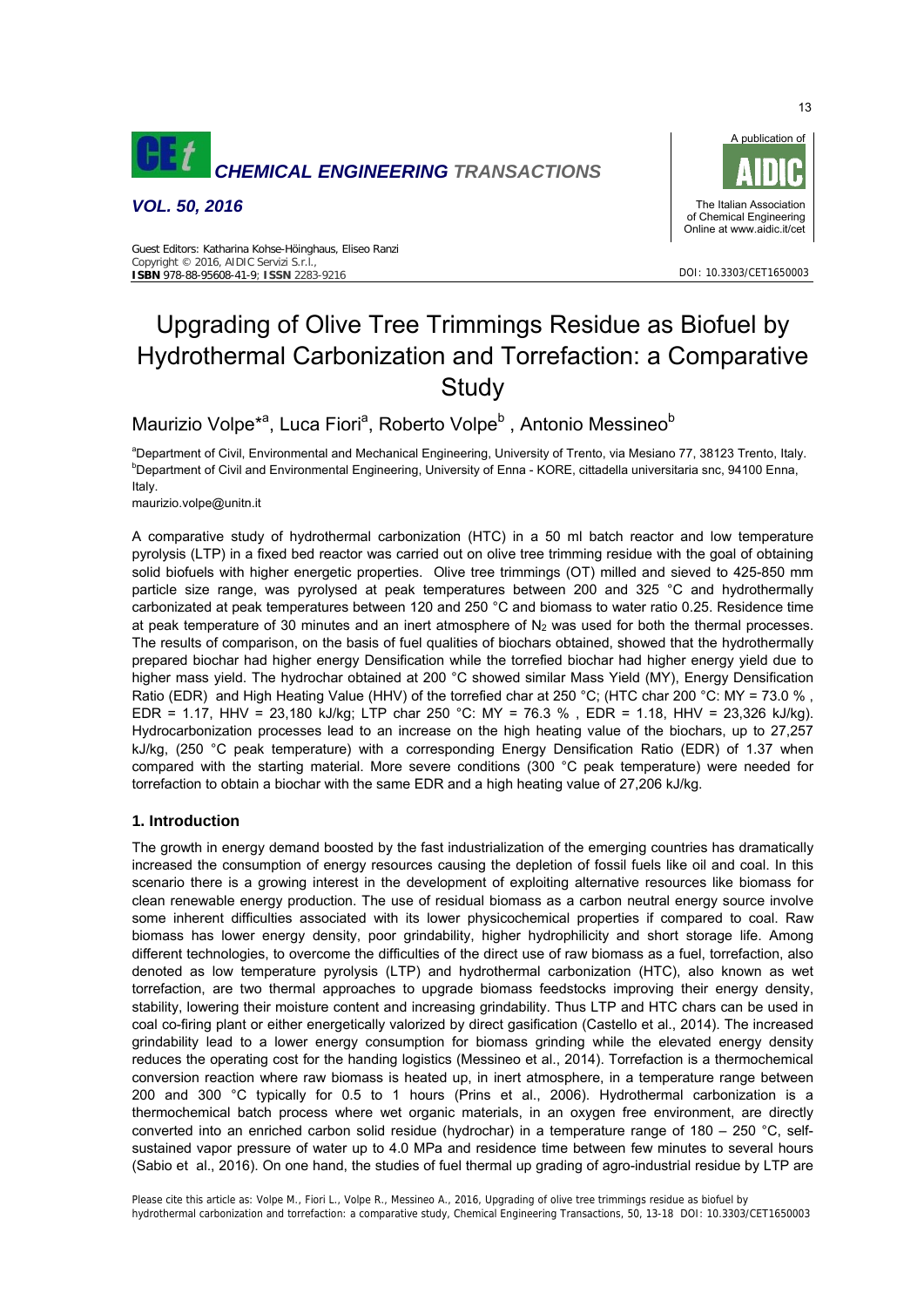

*VOL. 50, 2016* 



DOI: 10.3303/CET1650003

#### Guest Editors: Katharina Kohse-Höinghaus, Eliseo Ranzi Copyright © 2016, AIDIC Servizi S.r.l., **ISBN** 978-88-95608-41-9; **ISSN** 2283-9216

# Upgrading of Olive Tree Trimmings Residue as Biofuel by Hydrothermal Carbonization and Torrefaction: a Comparative **Study**

Maurizio Volpe<sup>\*a</sup>, Luca Fiori<sup>a</sup>, Roberto Volpe<sup>b</sup>, Antonio Messineo<sup>b</sup>

<sup>a</sup>Department of Civil, Environmental and Mechanical Engineering, University of Trento, via Mesiano 77, 38123 Trento, Italy.<br>**bDepartment of Civil and Environmental Engineering, University of Enne. KOBE, sittedelle univers** <sup>b</sup>Department of Civil and Environmental Engineering, University of Enna - KORE, cittadella universitaria snc, 94100 Enna, Italy.

maurizio.volpe@unitn.it

A comparative study of hydrothermal carbonization (HTC) in a 50 ml batch reactor and low temperature pyrolysis (LTP) in a fixed bed reactor was carried out on olive tree trimming residue with the goal of obtaining solid biofuels with higher energetic properties. Olive tree trimmings (OT) milled and sieved to 425-850 mm particle size range, was pyrolysed at peak temperatures between 200 and 325 °C and hydrothermally carbonizated at peak temperatures between 120 and 250 °C and biomass to water ratio 0.25. Residence time at peak temperature of 30 minutes and an inert atmosphere of  $N_2$  was used for both the thermal processes. The results of comparison, on the basis of fuel qualities of biochars obtained, showed that the hydrothermally prepared biochar had higher energy Densification while the torrefied biochar had higher energy yield due to higher mass yield. The hydrochar obtained at 200 °C showed similar Mass Yield (MY), Energy Densification Ratio (EDR) and High Heating Value (HHV) of the torrefied char at 250 °C; (HTC char 200 °C: MY = 73.0 %, EDR = 1.17, HHV = 23,180 kJ/kg; LTP char 250 °C: MY = 76.3 %, EDR = 1.18, HHV = 23,326 kJ/kg). Hydrocarbonization processes lead to an increase on the high heating value of the biochars, up to 27,257 kJ/kg, (250 °C peak temperature) with a corresponding Energy Densification Ratio (EDR) of 1.37 when compared with the starting material. More severe conditions (300 °C peak temperature) were needed for torrefaction to obtain a biochar with the same EDR and a high heating value of 27,206 kJ/kg.

## **1. Introduction**

The growth in energy demand boosted by the fast industrialization of the emerging countries has dramatically increased the consumption of energy resources causing the depletion of fossil fuels like oil and coal. In this scenario there is a growing interest in the development of exploiting alternative resources like biomass for clean renewable energy production. The use of residual biomass as a carbon neutral energy source involve some inherent difficulties associated with its lower physicochemical properties if compared to coal. Raw biomass has lower energy density, poor grindability, higher hydrophilicity and short storage life. Among different technologies, to overcome the difficulties of the direct use of raw biomass as a fuel, torrefaction, also denoted as low temperature pyrolysis (LTP) and hydrothermal carbonization (HTC), also known as wet torrefaction, are two thermal approaches to upgrade biomass feedstocks improving their energy density, stability, lowering their moisture content and increasing grindability. Thus LTP and HTC chars can be used in coal co-firing plant or either energetically valorized by direct gasification (Castello et al., 2014). The increased grindability lead to a lower energy consumption for biomass grinding while the elevated energy density reduces the operating cost for the handing logistics (Messineo et al., 2014). Torrefaction is a thermochemical conversion reaction where raw biomass is heated up, in inert atmosphere, in a temperature range between 200 and 300 °C typically for 0.5 to 1 hours (Prins et al., 2006). Hydrothermal carbonization is a thermochemical batch process where wet organic materials, in an oxygen free environment, are directly converted into an enriched carbon solid residue (hydrochar) in a temperature range of  $180 - 250$  °C, selfsustained vapor pressure of water up to 4.0 MPa and residence time between few minutes to several hours (Sabio et al., 2016). On one hand, the studies of fuel thermal up grading of agro-industrial residue by LTP are

Please cite this article as: Volpe M., Fiori L., Volpe R., Messineo A., 2016, Upgrading of olive tree trimmings residue as biofuel by hydrothermal carbonization and torrefaction: a comparative study, Chemical Engineering Transactions, 50, 13-18 DOI: 10.3303/CET1650003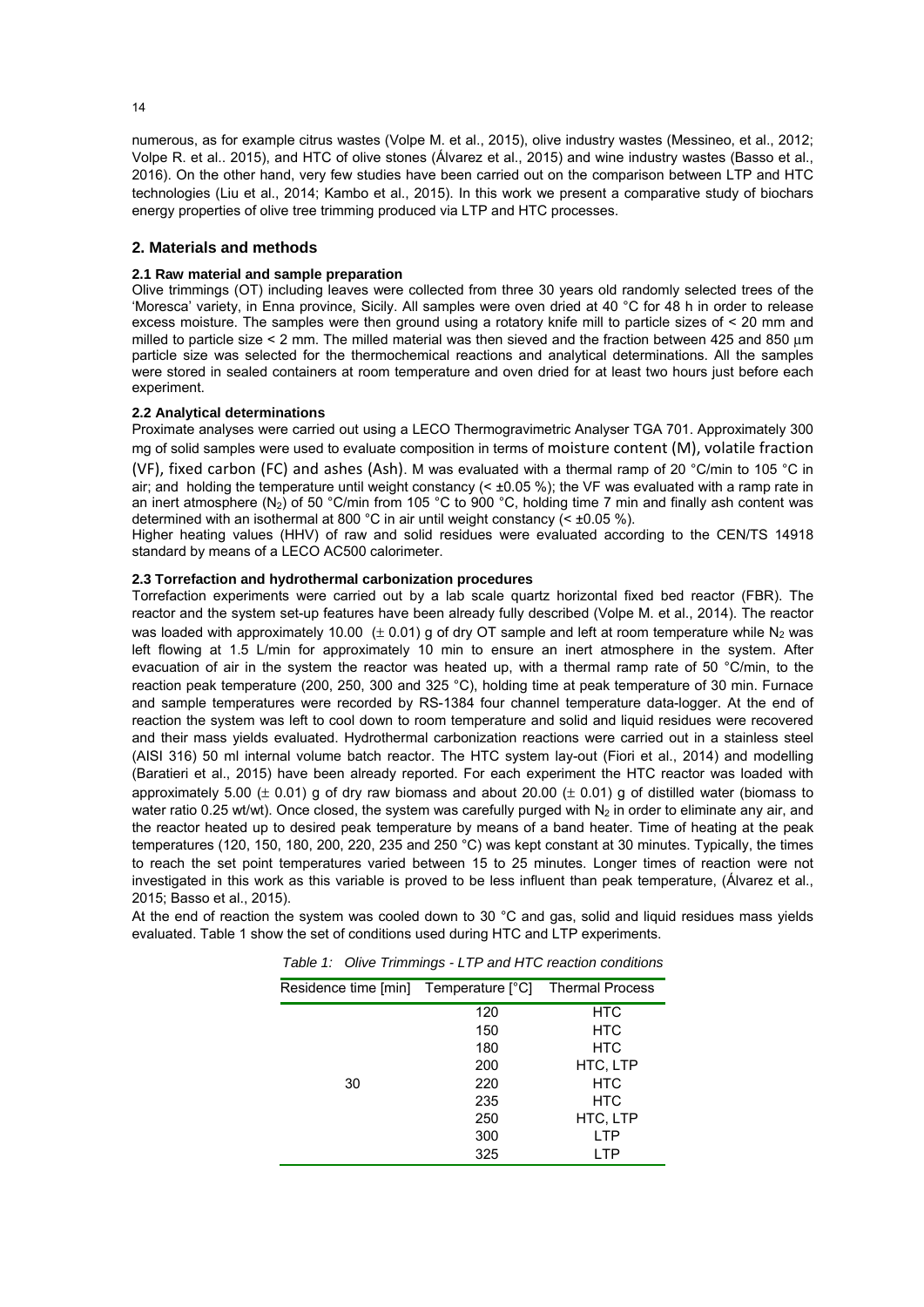numerous, as for example citrus wastes (Volpe M. et al., 2015), olive industry wastes (Messineo, et al., 2012; Volpe R. et al.. 2015), and HTC of olive stones (Álvarez et al., 2015) and wine industry wastes (Basso et al., 2016). On the other hand, very few studies have been carried out on the comparison between LTP and HTC technologies (Liu et al., 2014; Kambo et al., 2015). In this work we present a comparative study of biochars energy properties of olive tree trimming produced via LTP and HTC processes.

### **2. Materials and methods**

#### **2.1 Raw material and sample preparation**

Olive trimmings (OT) including leaves were collected from three 30 years old randomly selected trees of the 'Moresca' variety, in Enna province, Sicily. All samples were oven dried at 40 °C for 48 h in order to release excess moisture. The samples were then ground using a rotatory knife mill to particle sizes of < 20 mm and milled to particle size < 2 mm. The milled material was then sieved and the fraction between 425 and 850 μm particle size was selected for the thermochemical reactions and analytical determinations. All the samples were stored in sealed containers at room temperature and oven dried for at least two hours just before each experiment.

#### **2.2 Analytical determinations**

Proximate analyses were carried out using a LECO Thermogravimetric Analyser TGA 701. Approximately 300 mg of solid samples were used to evaluate composition in terms of moisture content (M), volatile fraction (VF), fixed carbon (FC) and ashes (Ash). M was evaluated with a thermal ramp of 20 °C/min to 105 °C in air; and holding the temperature until weight constancy (< ±0.05 %); the VF was evaluated with a ramp rate in an inert atmosphere (N<sub>2</sub>) of 50 °C/min from 105 °C to 900 °C, holding time 7 min and finally ash content was determined with an isothermal at 800 °C in air until weight constancy  $( $\pm 0.05\%$ ).$ 

Higher heating values (HHV) of raw and solid residues were evaluated according to the CEN/TS 14918 standard by means of a LECO AC500 calorimeter.

#### **2.3 Torrefaction and hydrothermal carbonization procedures**

Torrefaction experiments were carried out by a lab scale quartz horizontal fixed bed reactor (FBR). The reactor and the system set-up features have been already fully described (Volpe M. et al., 2014). The reactor was loaded with approximately 10.00  $(± 0.01)$  g of dry OT sample and left at room temperature while N<sub>2</sub> was left flowing at 1.5 L/min for approximately 10 min to ensure an inert atmosphere in the system. After evacuation of air in the system the reactor was heated up, with a thermal ramp rate of 50 °C/min, to the reaction peak temperature (200, 250, 300 and 325 °C), holding time at peak temperature of 30 min. Furnace and sample temperatures were recorded by RS-1384 four channel temperature data-logger. At the end of reaction the system was left to cool down to room temperature and solid and liquid residues were recovered and their mass yields evaluated. Hydrothermal carbonization reactions were carried out in a stainless steel (AISI 316) 50 ml internal volume batch reactor. The HTC system lay-out (Fiori et al., 2014) and modelling (Baratieri et al., 2015) have been already reported. For each experiment the HTC reactor was loaded with approximately 5.00 ( $\pm$  0.01) g of dry raw biomass and about 20.00 ( $\pm$  0.01) g of distilled water (biomass to water ratio 0.25 wt/wt). Once closed, the system was carefully purged with  $N_2$  in order to eliminate any air, and the reactor heated up to desired peak temperature by means of a band heater. Time of heating at the peak temperatures (120, 150, 180, 200, 220, 235 and 250 °C) was kept constant at 30 minutes. Typically, the times to reach the set point temperatures varied between 15 to 25 minutes. Longer times of reaction were not investigated in this work as this variable is proved to be less influent than peak temperature, (Álvarez et al., 2015; Basso et al., 2015).

At the end of reaction the system was cooled down to 30 °C and gas, solid and liquid residues mass yields evaluated. Table 1 show the set of conditions used during HTC and LTP experiments.

| Residence time [min] Temperature [°C] |     | <b>Thermal Process</b> |  |  |  |
|---------------------------------------|-----|------------------------|--|--|--|
|                                       | 120 | <b>HTC</b>             |  |  |  |
|                                       | 150 | <b>HTC</b>             |  |  |  |
|                                       | 180 | <b>HTC</b>             |  |  |  |
|                                       | 200 | HTC, LTP               |  |  |  |
| 30                                    | 220 | <b>HTC</b>             |  |  |  |
|                                       | 235 | <b>HTC</b>             |  |  |  |
|                                       | 250 | HTC, LTP               |  |  |  |
|                                       | 300 | <b>LTP</b>             |  |  |  |
|                                       | 325 | I TP                   |  |  |  |

| Table 1: Olive Trimmings - LTP and HTC reaction conditions |  |  |  |  |
|------------------------------------------------------------|--|--|--|--|
|------------------------------------------------------------|--|--|--|--|

14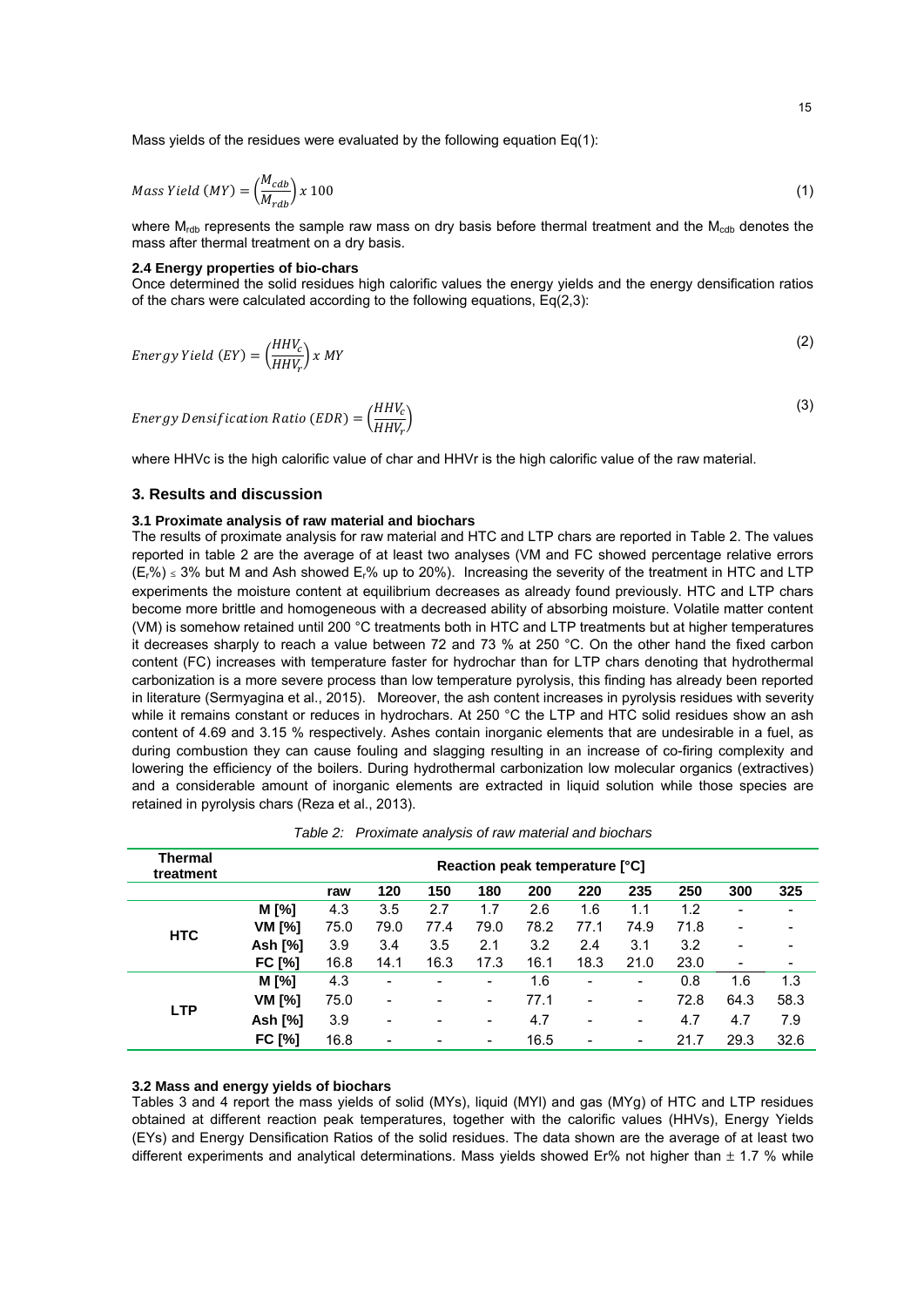Mass yields of the residues were evaluated by the following equation Eq(1):

$$
Mass Yield (MY) = \left(\frac{M_{cdb}}{M_{rdb}}\right) x 100
$$
\n(1)

where  $M_{\text{rdb}}$  represents the sample raw mass on dry basis before thermal treatment and the  $M_{\text{rdb}}$  denotes the mass after thermal treatment on a dry basis.

#### **2.4 Energy properties of bio-chars**

Once determined the solid residues high calorific values the energy yields and the energy densification ratios of the chars were calculated according to the following equations,  $Eq(2,3)$ :

Energy Yield (EY) = 
$$
\left(\frac{HHV_c}{HHV_r}\right) x MY
$$
 (2)

Energy Densityization Ratio (EDR) = 
$$
\left(\frac{HHV_c}{HHV_r}\right)
$$
 (3)

where HHVc is the high calorific value of char and HHVr is the high calorific value of the raw material.

### **3. Results and discussion**

#### **3.1 Proximate analysis of raw material and biochars**

The results of proximate analysis for raw material and HTC and LTP chars are reported in Table 2. The values reported in table 2 are the average of at least two analyses (VM and FC showed percentage relative errors  $(E_1\%)$  ≤ 3% but M and Ash showed  $E_1\%$  up to 20%). Increasing the severity of the treatment in HTC and LTP experiments the moisture content at equilibrium decreases as already found previously. HTC and LTP chars become more brittle and homogeneous with a decreased ability of absorbing moisture. Volatile matter content (VM) is somehow retained until 200 °C treatments both in HTC and LTP treatments but at higher temperatures it decreases sharply to reach a value between 72 and 73 % at 250 °C. On the other hand the fixed carbon content (FC) increases with temperature faster for hydrochar than for LTP chars denoting that hydrothermal carbonization is a more severe process than low temperature pyrolysis, this finding has already been reported in literature (Sermyagina et al., 2015). Moreover, the ash content increases in pyrolysis residues with severity while it remains constant or reduces in hydrochars. At 250 °C the LTP and HTC solid residues show an ash content of 4.69 and 3.15 % respectively. Ashes contain inorganic elements that are undesirable in a fuel, as during combustion they can cause fouling and slagging resulting in an increase of co-firing complexity and lowering the efficiency of the boilers. During hydrothermal carbonization low molecular organics (extractives) and a considerable amount of inorganic elements are extracted in liquid solution while those species are retained in pyrolysis chars (Reza et al., 2013).

| <b>Thermal</b><br>treatment | Reaction peak temperature [°C] |      |                          |      |                          |      |      |                          |      |                          |      |
|-----------------------------|--------------------------------|------|--------------------------|------|--------------------------|------|------|--------------------------|------|--------------------------|------|
|                             |                                | raw  | 120                      | 150  | 180                      | 200  | 220  | 235                      | 250  | 300                      | 325  |
|                             | M [%]                          | 4.3  | 3.5                      | 2.7  | 1.7                      | 2.6  | 1.6  | 1.1                      | 1.2  | $\overline{\phantom{a}}$ |      |
| <b>HTC</b>                  | VM [%]                         | 75.0 | 79.0                     | 77.4 | 79.0                     | 78.2 | 77.1 | 74.9                     | 71.8 | $\overline{\phantom{0}}$ |      |
|                             | Ash [%]                        | 3.9  | 3.4                      | 3.5  | 2.1                      | 3.2  | 2.4  | 3.1                      | 3.2  | $\overline{\phantom{0}}$ |      |
|                             | <b>FC [%]</b>                  | 16.8 | 14.1                     | 16.3 | 17.3                     | 16.1 | 18.3 | 21.0                     | 23.0 | $\overline{\phantom{a}}$ |      |
|                             | M [%]                          | 4.3  | $\overline{\phantom{a}}$ |      | $\overline{\phantom{a}}$ | 1.6  | ٠    | $\qquad \qquad$          | 0.8  | 1.6                      | 1.3  |
| <b>LTP</b>                  | VM [%]                         | 75.0 | $\overline{\phantom{a}}$ |      | $\overline{\phantom{a}}$ | 77.1 | -    | $\overline{\phantom{a}}$ | 72.8 | 64.3                     | 58.3 |
|                             | Ash [%]                        | 3.9  | $\overline{\phantom{a}}$ |      | $\overline{\phantom{a}}$ | 4.7  | -    | $\overline{\phantom{a}}$ | 4.7  | 4.7                      | 7.9  |
|                             | <b>FC [%]</b>                  | 16.8 | $\overline{\phantom{a}}$ |      | $\overline{\phantom{a}}$ | 16.5 |      | $\overline{\phantom{a}}$ | 21.7 | 29.3                     | 32.6 |

*Table 2: Proximate analysis of raw material and biochars* 

## **3.2 Mass and energy yields of biochars**

Tables 3 and 4 report the mass yields of solid (MYs), liquid (MYl) and gas (MYg) of HTC and LTP residues obtained at different reaction peak temperatures, together with the calorific values (HHVs), Energy Yields (EYs) and Energy Densification Ratios of the solid residues. The data shown are the average of at least two different experiments and analytical determinations. Mass yields showed Er% not higher than  $\pm$  1.7 % while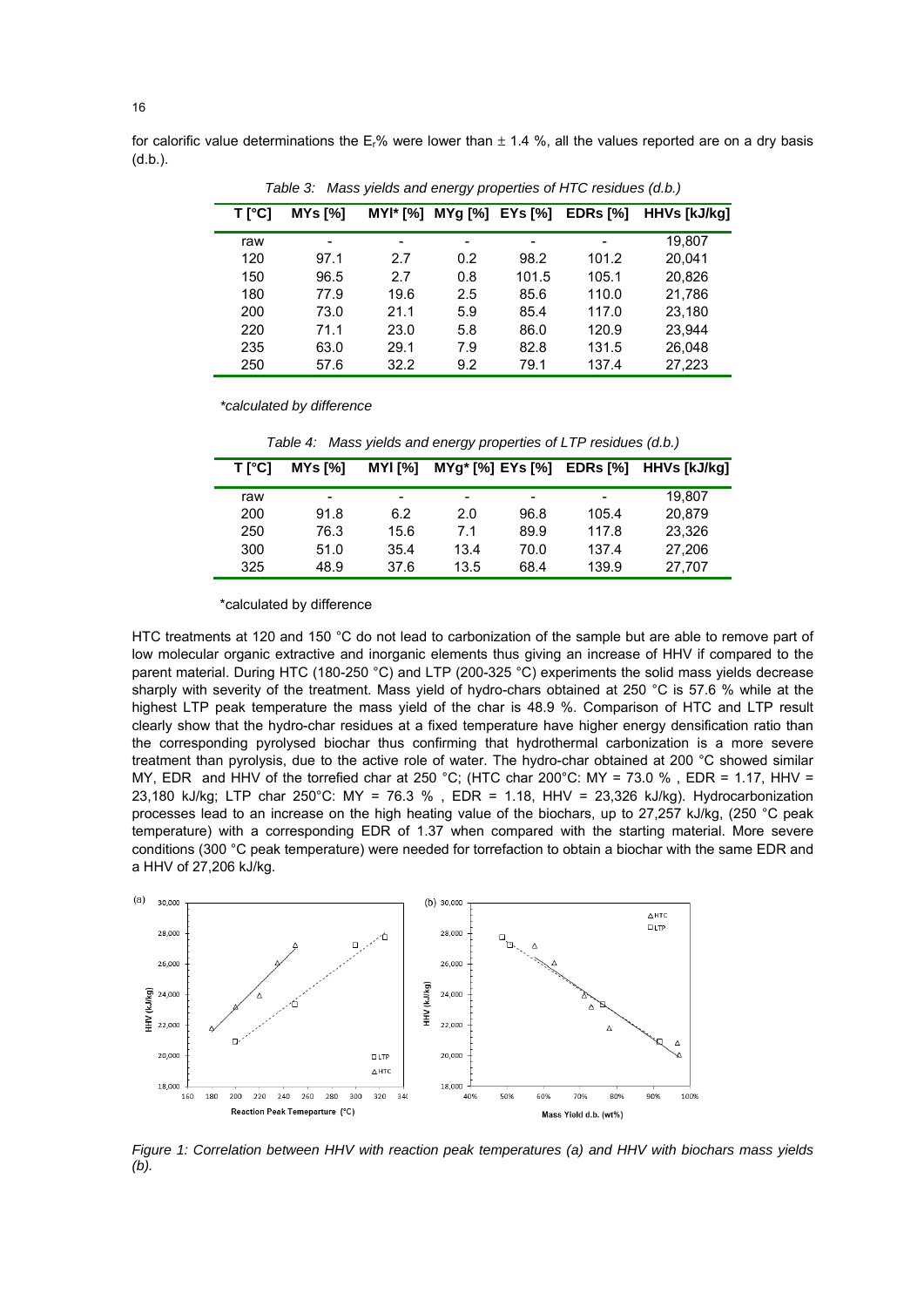for calorific value determinations the  $E_r$ % were lower than  $\pm$  1.4 %, all the values reported are on a dry basis (d.b.).

| $T[^{\circ}C]$ | MYs <sub>1</sub> | $MYI* [%]$               | MYg [%] EYs [%] |       | EDRs [%] | <b>HHVs [kJ/kg]</b> |  |  |
|----------------|------------------|--------------------------|-----------------|-------|----------|---------------------|--|--|
| raw            | -                | $\overline{\phantom{a}}$ | -               | -     |          | 19.807              |  |  |
| 120            | 97.1             | 2.7                      | 0.2             | 98.2  | 101.2    | 20.041              |  |  |
| 150            | 96.5             | 2.7                      | 0.8             | 101.5 | 105.1    | 20.826              |  |  |
| 180            | 77.9             | 19.6                     | 2.5             | 85.6  | 110.0    | 21,786              |  |  |
| 200            | 73.0             | 21.1                     | 5.9             | 85.4  | 117.0    | 23.180              |  |  |
| 220            | 71.1             | 23.0                     | 5.8             | 86.0  | 120.9    | 23.944              |  |  |
| 235            | 63.0             | 29.1                     | 7.9             | 82.8  | 131.5    | 26,048              |  |  |
| 250            | 57.6             | 32.2                     | 9.2             | 79.1  | 137.4    | 27.223              |  |  |

*Table 3: Mass yields and energy properties of HTC residues (d.b.)* 

*\*calculated by difference* 

*Table 4: Mass yields and energy properties of LTP residues (d.b.)* 

| T [°C] | MYs [%] | <b>MYI [%]</b> | MYg* [%] EYs [%] |      | EDRs [%] | HHVs [kJ/kg] |
|--------|---------|----------------|------------------|------|----------|--------------|
| raw    | -       | -              | -                | -    | -        | 19.807       |
| 200    | 91.8    | 6.2            | 2.0              | 96.8 | 105.4    | 20.879       |
| 250    | 76.3    | 15.6           | 7.1              | 89.9 | 117.8    | 23.326       |
| 300    | 51.0    | 35.4           | 13.4             | 70.0 | 137.4    | 27,206       |
| 325    | 48.9    | 37.6           | 13.5             | 68.4 | 139.9    | 27,707       |

\*calculated by difference

HTC treatments at 120 and 150 °C do not lead to carbonization of the sample but are able to remove part of low molecular organic extractive and inorganic elements thus giving an increase of HHV if compared to the parent material. During HTC (180-250 °C) and LTP (200-325 °C) experiments the solid mass yields decrease sharply with severity of the treatment. Mass yield of hydro-chars obtained at 250 °C is 57.6 % while at the highest LTP peak temperature the mass yield of the char is 48.9 %. Comparison of HTC and LTP result clearly show that the hydro-char residues at a fixed temperature have higher energy densification ratio than the corresponding pyrolysed biochar thus confirming that hydrothermal carbonization is a more severe treatment than pyrolysis, due to the active role of water. The hydro-char obtained at 200 °C showed similar MY, EDR and HHV of the torrefied char at 250 °C; (HTC char 200°C: MY = 73.0 %, EDR = 1.17, HHV = 23,180 kJ/kg; LTP char 250°C: MY = 76.3 % , EDR = 1.18, HHV = 23,326 kJ/kg). Hydrocarbonization processes lead to an increase on the high heating value of the biochars, up to 27,257 kJ/kg, (250 °C peak temperature) with a corresponding EDR of 1.37 when compared with the starting material. More severe conditions (300 °C peak temperature) were needed for torrefaction to obtain a biochar with the same EDR and a HHV of 27,206 kJ/kg.



*Figure 1: Correlation between HHV with reaction peak temperatures (a) and HHV with biochars mass yields (b).*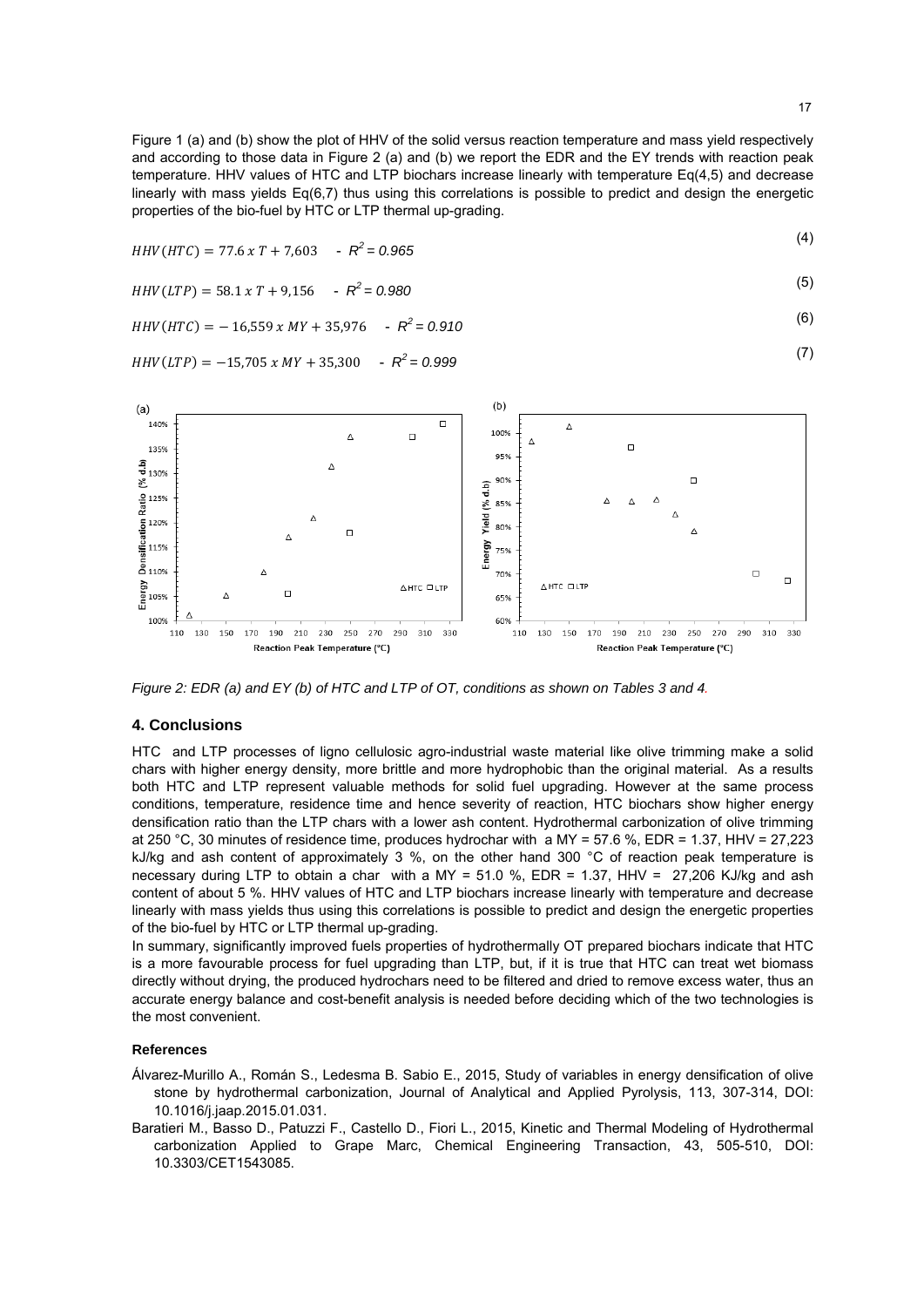Figure 1 (a) and (b) show the plot of HHV of the solid versus reaction temperature and mass yield respectively and according to those data in Figure 2 (a) and (b) we report the EDR and the EY trends with reaction peak temperature. HHV values of HTC and LTP biochars increase linearly with temperature Eq(4,5) and decrease linearly with mass yields Eq(6,7) thus using this correlations is possible to predict and design the energetic properties of the bio-fuel by HTC or LTP thermal up-grading.

$$
HHV(HTC) = 77.6 \times T + 7,603 \quad -R^2 = 0.965
$$

$$
HHV(LTP) = 58.1 \times T + 9,156 \quad -R^2 = 0.980
$$

$$
HHV(HTC) = -16,559 \times MY + 35,976 \quad -R^2 = 0.910 \tag{6}
$$

$$
HHV(LTP) = -15,705 \times MY + 35,300 \quad -R^2 = 0.999 \tag{7}
$$



*Figure 2: EDR (a) and EY (b) of HTC and LTP of OT, conditions as shown on Tables 3 and 4.* 

#### **4. Conclusions**

HTC and LTP processes of ligno cellulosic agro-industrial waste material like olive trimming make a solid chars with higher energy density, more brittle and more hydrophobic than the original material. As a results both HTC and LTP represent valuable methods for solid fuel upgrading. However at the same process conditions, temperature, residence time and hence severity of reaction, HTC biochars show higher energy densification ratio than the LTP chars with a lower ash content. Hydrothermal carbonization of olive trimming at 250 °C, 30 minutes of residence time, produces hydrochar with a MY = 57.6 %, EDR = 1.37, HHV = 27,223 kJ/kg and ash content of approximately 3 %, on the other hand 300  $^{\circ}$ C of reaction peak temperature is necessary during LTP to obtain a char with a MY = 51.0 %, EDR = 1.37, HHV = 27,206 KJ/kg and ash content of about 5 %. HHV values of HTC and LTP biochars increase linearly with temperature and decrease linearly with mass yields thus using this correlations is possible to predict and design the energetic properties of the bio-fuel by HTC or LTP thermal up-grading.

In summary, significantly improved fuels properties of hydrothermally OT prepared biochars indicate that HTC is a more favourable process for fuel upgrading than LTP, but, if it is true that HTC can treat wet biomass directly without drying, the produced hydrochars need to be filtered and dried to remove excess water, thus an accurate energy balance and cost-benefit analysis is needed before deciding which of the two technologies is the most convenient.

#### **References**

- Álvarez-Murillo A., Román S., Ledesma B. Sabio E., 2015, Study of variables in energy densification of olive stone by hydrothermal carbonization, Journal of Analytical and Applied Pyrolysis, 113, 307-314, DOI: 10.1016/j.jaap.2015.01.031.
- Baratieri M., Basso D., Patuzzi F., Castello D., Fiori L., 2015, Kinetic and Thermal Modeling of Hydrothermal carbonization Applied to Grape Marc, Chemical Engineering Transaction, 43, 505-510, DOI: 10.3303/CET1543085.

 $(1)$ 

 $\overline{a}$